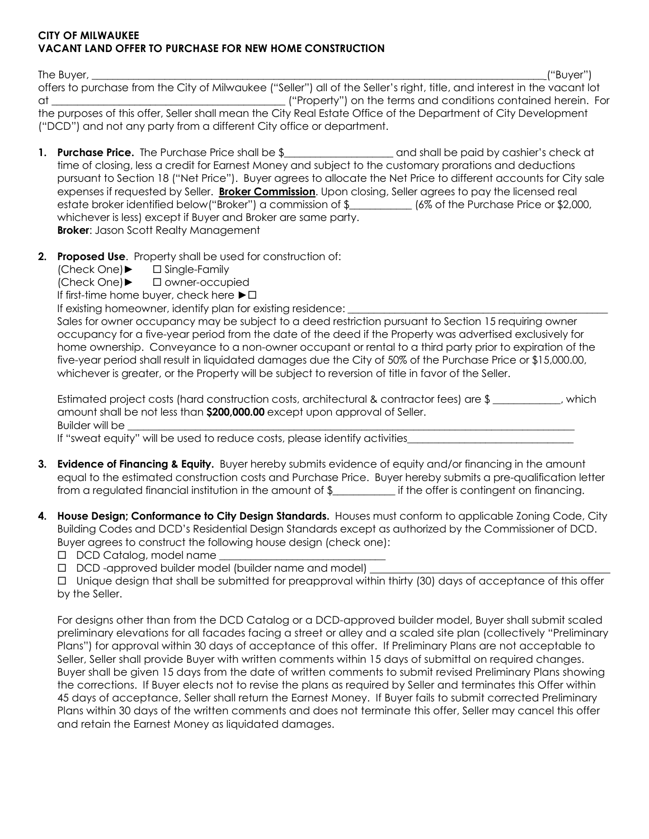## CITY OF MILWAUKEE VACANT LAND OFFER TO PURCHASE FOR NEW HOME CONSTRUCTION

The Buyer, \_\_\_\_\_\_\_\_\_\_\_\_\_\_\_\_\_\_\_\_\_\_\_\_\_\_\_\_\_\_\_\_\_\_\_\_\_\_\_\_\_\_\_\_\_\_\_\_\_\_\_\_\_\_\_\_\_\_\_\_\_\_\_\_\_\_\_\_\_\_\_\_\_\_\_\_\_\_\_\_\_\_\_\_\_\_\_ ("Buyer") offers to purchase from the City of Milwaukee ("Seller") all of the Seller's right, title, and interest in the vacant lot at \_\_\_\_\_\_\_\_\_\_\_\_\_\_\_\_\_\_\_\_\_\_\_\_\_\_\_\_\_\_\_\_\_\_\_\_\_\_\_\_\_\_\_\_\_ ("Property") on the terms and conditions contained herein. For the purposes of this offer, Seller shall mean the City Real Estate Office of the Department of City Development ("DCD") and not any party from a different City office or department.

- 1. Purchase Price. The Purchase Price shall be \$ and shall be paid by cashier's check at time of closing, less a credit for Earnest Money and subject to the customary prorations and deductions pursuant to Section 18 ("Net Price"). Buyer agrees to allocate the Net Price to different accounts for City sale expenses if requested by Seller. Broker Commission. Upon closing, Seller agrees to pay the licensed real estate broker identified below("Broker") a commission of \$\_\_\_\_\_\_\_\_\_\_\_\_\_ (6% of the Purchase Price or \$2,000, whichever is less) except if Buyer and Broker are same party. **Broker:** Jason Scott Realty Management
- 2. Proposed Use. Property shall be used for construction of:
	- (Check One)► Single-Family

(Check One)► owner-occupied

If first-time home buyer, check here  $\blacktriangleright$   $\Box$ 

If existing homeowner, identify plan for existing residence:

 Sales for owner occupancy may be subject to a deed restriction pursuant to Section 15 requiring owner occupancy for a five-year period from the date of the deed if the Property was advertised exclusively for home ownership. Conveyance to a non-owner occupant or rental to a third party prior to expiration of the five-year period shall result in liquidated damages due the City of 50% of the Purchase Price or \$15,000.00, whichever is greater, or the Property will be subject to reversion of title in favor of the Seller.

 Estimated project costs (hard construction costs, architectural & contractor fees) are \$ \_\_\_\_\_\_\_\_\_\_\_\_\_, which amount shall be not less than \$200,000.00 except upon approval of Seller. Builder will be

If "sweat equity" will be used to reduce costs, please identify activities

- 3. Evidence of Financing & Equity. Buyer hereby submits evidence of equity and/or financing in the amount equal to the estimated construction costs and Purchase Price. Buyer hereby submits a pre-qualification letter from a regulated financial institution in the amount of \$\_\_\_\_\_\_\_\_\_\_\_\_ if the offer is contingent on financing.
- 4. House Design; Conformance to City Design Standards. Houses must conform to applicable Zoning Code, City Building Codes and DCD's Residential Design Standards except as authorized by the Commissioner of DCD. Buyer agrees to construct the following house design (check one):

 $\Box$  DCD Catalog, model name

D DCD-approved builder model (builder name and model)

 Unique design that shall be submitted for preapproval within thirty (30) days of acceptance of this offer by the Seller.

 For designs other than from the DCD Catalog or a DCD-approved builder model, Buyer shall submit scaled preliminary elevations for all facades facing a street or alley and a scaled site plan (collectively "Preliminary Plans") for approval within 30 days of acceptance of this offer. If Preliminary Plans are not acceptable to Seller, Seller shall provide Buyer with written comments within 15 days of submittal on required changes. Buyer shall be given 15 days from the date of written comments to submit revised Preliminary Plans showing the corrections. If Buyer elects not to revise the plans as required by Seller and terminates this Offer within 45 days of acceptance, Seller shall return the Earnest Money. If Buyer fails to submit corrected Preliminary Plans within 30 days of the written comments and does not terminate this offer, Seller may cancel this offer and retain the Earnest Money as liquidated damages.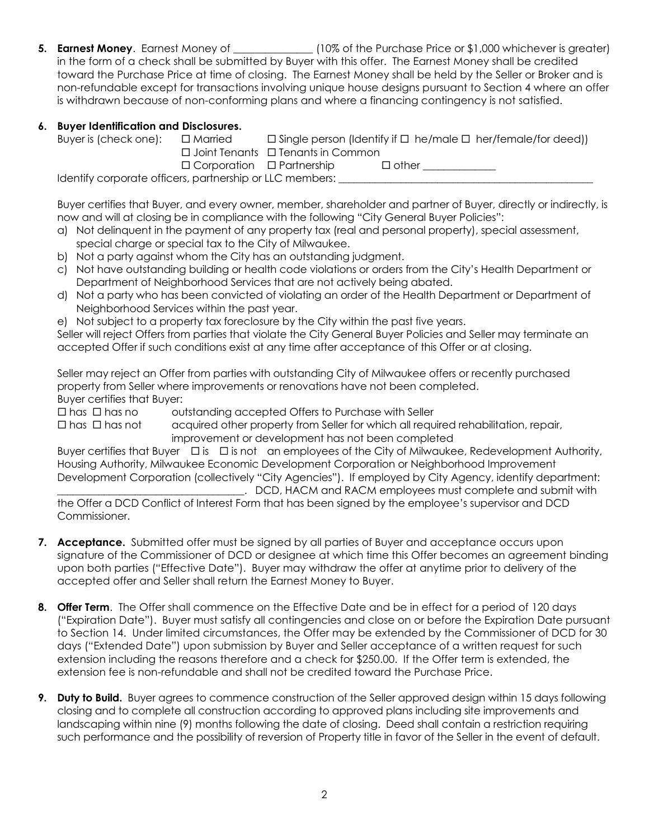5. Earnest Money. Earnest Money of \_\_\_\_\_\_\_\_\_\_\_\_\_\_\_ (10% of the Purchase Price or \$1,000 whichever is greater) in the form of a check shall be submitted by Buyer with this offer. The Earnest Money shall be credited toward the Purchase Price at time of closing. The Earnest Money shall be held by the Seller or Broker and is non-refundable except for transactions involving unique house designs pursuant to Section 4 where an offer is withdrawn because of non-conforming plans and where a financing contingency is not satisfied.

## 6. Buyer Identification and Disclosures.

| Buyer is (check one):                                                                                                                                                                                                                                                                              | □ Married                             |                                               |              | $\Box$ Single person (Identify if $\Box$ he/male $\Box$ her/female/for deed)) |  |
|----------------------------------------------------------------------------------------------------------------------------------------------------------------------------------------------------------------------------------------------------------------------------------------------------|---------------------------------------|-----------------------------------------------|--------------|-------------------------------------------------------------------------------|--|
|                                                                                                                                                                                                                                                                                                    |                                       | $\Box$ Joint Tenants $\Box$ Tenants in Common |              |                                                                               |  |
|                                                                                                                                                                                                                                                                                                    | $\Box$ Corporation $\Box$ Partnership |                                               | $\Box$ other |                                                                               |  |
| $\mathbf{1}$ and $\mathbf{1}$ if $\mathbf{1}$ , and and and $\mathbf{1}$ and $\mathbf{1}$ and $\mathbf{1}$ and $\mathbf{1}$ and $\mathbf{1}$ and $\mathbf{1}$ and $\mathbf{1}$ and $\mathbf{1}$ and $\mathbf{1}$ and $\mathbf{1}$ and $\mathbf{1}$ and $\mathbf{1}$ and $\mathbf{1}$ and $\mathbf$ |                                       |                                               |              |                                                                               |  |

Identify corporate officers, partnership or LLC members:

Buyer certifies that Buyer, and every owner, member, shareholder and partner of Buyer, directly or indirectly, is now and will at closing be in compliance with the following "City General Buyer Policies":

- a) Not delinquent in the payment of any property tax (real and personal property), special assessment, special charge or special tax to the City of Milwaukee.
- b) Not a party against whom the City has an outstanding judgment.
- c) Not have outstanding building or health code violations or orders from the City's Health Department or Department of Neighborhood Services that are not actively being abated.
- d) Not a party who has been convicted of violating an order of the Health Department or Department of Neighborhood Services within the past year.
- e) Not subject to a property tax foreclosure by the City within the past five years.

Seller will reject Offers from parties that violate the City General Buyer Policies and Seller may terminate an accepted Offer if such conditions exist at any time after acceptance of this Offer or at closing.

 Seller may reject an Offer from parties with outstanding City of Milwaukee offers or recently purchased property from Seller where improvements or renovations have not been completed.

Buyer certifies that Buyer:

 $\Box$  has  $\Box$  has no outstanding accepted Offers to Purchase with Seller

 $\Box$  has  $\Box$  has not acquired other property from Seller for which all required rehabilitation, repair, improvement or development has not been completed

Buyer certifies that Buyer  $\Box$  is  $\Box$  is not an employees of the City of Milwaukee, Redevelopment Authority, Housing Authority, Milwaukee Economic Development Corporation or Neighborhood Improvement Development Corporation (collectively "City Agencies"). If employed by City Agency, identify department:

. DCD, HACM and RACM employees must complete and submit with the Offer a DCD Conflict of Interest Form that has been signed by the employee's supervisor and DCD Commissioner.

- 7. Acceptance. Submitted offer must be signed by all parties of Buyer and acceptance occurs upon signature of the Commissioner of DCD or designee at which time this Offer becomes an agreement binding upon both parties ("Effective Date"). Buyer may withdraw the offer at anytime prior to delivery of the accepted offer and Seller shall return the Earnest Money to Buyer.
- 8. Offer Term. The Offer shall commence on the Effective Date and be in effect for a period of 120 days ("Expiration Date"). Buyer must satisfy all contingencies and close on or before the Expiration Date pursuant to Section 14. Under limited circumstances, the Offer may be extended by the Commissioner of DCD for 30 days ("Extended Date") upon submission by Buyer and Seller acceptance of a written request for such extension including the reasons therefore and a check for \$250.00. If the Offer term is extended, the extension fee is non-refundable and shall not be credited toward the Purchase Price.
- 9. Duty to Build. Buyer agrees to commence construction of the Seller approved design within 15 days following closing and to complete all construction according to approved plans including site improvements and landscaping within nine (9) months following the date of closing. Deed shall contain a restriction requiring such performance and the possibility of reversion of Property title in favor of the Seller in the event of default.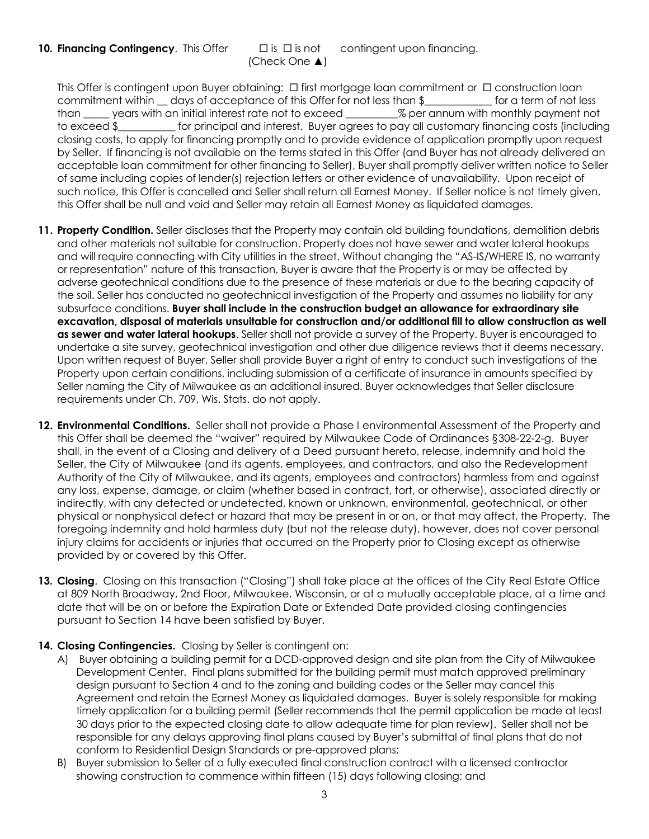10. Financing Contingency. This Offer  $\Box$  is  $\Box$  is not contingent upon financing. (Check One ▲)

This Offer is contingent upon Buyer obtaining:  $\Box$  first mortgage loan commitment or  $\Box$  construction loan commitment within a days of acceptance of this Offer for not less than \$ The original for a term of not less than \_\_\_\_\_ years with an initial interest rate not to exceed \_\_\_\_\_\_\_\_\_\_% per annum with monthly payment not to exceed \$\_\_\_\_\_\_\_\_\_\_\_ for principal and interest. Buyer agrees to pay all customary financing costs (including closing costs, to apply for financing promptly and to provide evidence of application promptly upon request by Seller. If financing is not available on the terms stated in this Offer (and Buyer has not already delivered an acceptable loan commitment for other financing to Seller), Buyer shall promptly deliver written notice to Seller of same including copies of lender(s) rejection letters or other evidence of unavailability. Upon receipt of such notice, this Offer is cancelled and Seller shall return all Earnest Money. If Seller notice is not timely given, this Offer shall be null and void and Seller may retain all Earnest Money as liquidated damages.

- 11. Property Condition. Seller discloses that the Property may contain old building foundations, demolition debris and other materials not suitable for construction. Property does not have sewer and water lateral hookups and will require connecting with City utilities in the street. Without changing the "AS-IS/WHERE IS, no warranty or representation" nature of this transaction, Buyer is aware that the Property is or may be affected by adverse geotechnical conditions due to the presence of these materials or due to the bearing capacity of the soil. Seller has conducted no geotechnical investigation of the Property and assumes no liability for any subsurface conditions. Buyer shall include in the construction budget an allowance for extraordinary site excavation, disposal of materials unsuitable for construction and/or additional fill to allow construction as well as sewer and water lateral hookups. Seller shall not provide a survey of the Property. Buyer is encouraged to undertake a site survey, geotechnical investigation and other due diligence reviews that it deems necessary. Upon written request of Buyer, Seller shall provide Buyer a right of entry to conduct such investigations of the Property upon certain conditions, including submission of a certificate of insurance in amounts specified by Seller naming the City of Milwaukee as an additional insured. Buyer acknowledges that Seller disclosure requirements under Ch. 709, Wis. Stats. do not apply.
- 12. Environmental Conditions. Seller shall not provide a Phase I environmental Assessment of the Property and this Offer shall be deemed the "waiver" required by Milwaukee Code of Ordinances §308-22-2-g. Buyer shall, in the event of a Closing and delivery of a Deed pursuant hereto, release, indemnify and hold the Seller, the City of Milwaukee (and its agents, employees, and contractors, and also the Redevelopment Authority of the City of Milwaukee, and its agents, employees and contractors) harmless from and against any loss, expense, damage, or claim (whether based in contract, tort, or otherwise), associated directly or indirectly, with any detected or undetected, known or unknown, environmental, geotechnical, or other physical or nonphysical defect or hazard that may be present in or on, or that may affect, the Property. The foregoing indemnity and hold harmless duty (but not the release duty), however, does not cover personal injury claims for accidents or injuries that occurred on the Property prior to Closing except as otherwise provided by or covered by this Offer.
- 13. Closing. Closing on this transaction ("Closing") shall take place at the offices of the City Real Estate Office at 809 North Broadway, 2nd Floor, Milwaukee, Wisconsin, or at a mutually acceptable place, at a time and date that will be on or before the Expiration Date or Extended Date provided closing contingencies pursuant to Section 14 have been satisfied by Buyer.
- 14. Closing Contingencies. Closing by Seller is contingent on:
	- A) Buyer obtaining a building permit for a DCD-approved design and site plan from the City of Milwaukee Development Center. Final plans submitted for the building permit must match approved preliminary design pursuant to Section 4 and to the zoning and building codes or the Seller may cancel this Agreement and retain the Earnest Money as liquidated damages. Buyer is solely responsible for making timely application for a building permit (Seller recommends that the permit application be made at least 30 days prior to the expected closing date to allow adequate time for plan review). Seller shall not be responsible for any delays approving final plans caused by Buyer's submittal of final plans that do not conform to Residential Design Standards or pre-approved plans;
	- B) Buyer submission to Seller of a fully executed final construction contract with a licensed contractor showing construction to commence within fifteen (15) days following closing; and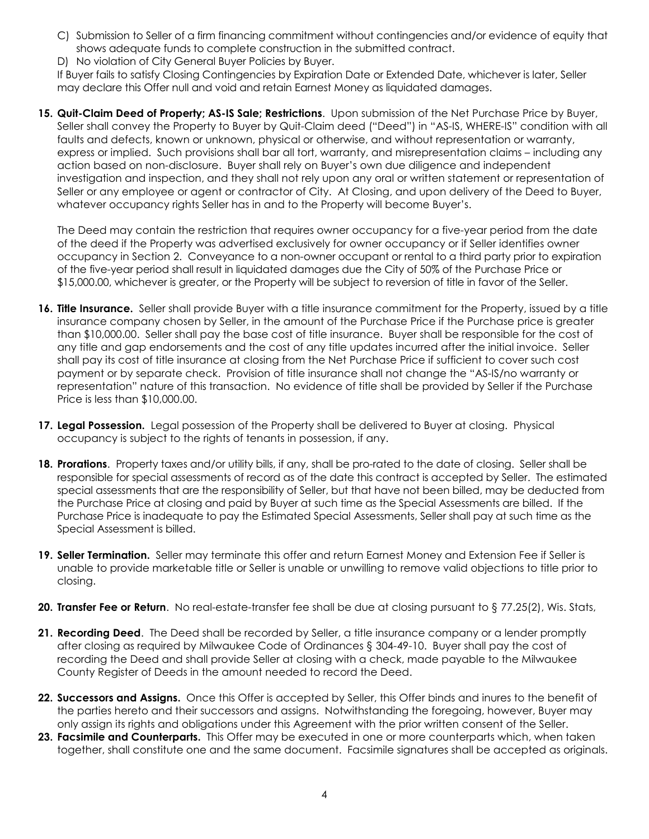- C) Submission to Seller of a firm financing commitment without contingencies and/or evidence of equity that shows adequate funds to complete construction in the submitted contract.
- D) No violation of City General Buyer Policies by Buyer.

 If Buyer fails to satisfy Closing Contingencies by Expiration Date or Extended Date, whichever is later, Seller may declare this Offer null and void and retain Earnest Money as liquidated damages.

15. Quit-Claim Deed of Property; AS-IS Sale; Restrictions. Upon submission of the Net Purchase Price by Buyer, Seller shall convey the Property to Buyer by Quit-Claim deed ("Deed") in "AS-IS, WHERE-IS" condition with all faults and defects, known or unknown, physical or otherwise, and without representation or warranty, express or implied. Such provisions shall bar all tort, warranty, and misrepresentation claims – including any action based on non-disclosure. Buyer shall rely on Buyer's own due diligence and independent investigation and inspection, and they shall not rely upon any oral or written statement or representation of Seller or any employee or agent or contractor of City. At Closing, and upon delivery of the Deed to Buyer, whatever occupancy rights Seller has in and to the Property will become Buyer's.

 The Deed may contain the restriction that requires owner occupancy for a five-year period from the date of the deed if the Property was advertised exclusively for owner occupancy or if Seller identifies owner occupancy in Section 2. Conveyance to a non-owner occupant or rental to a third party prior to expiration of the five-year period shall result in liquidated damages due the City of 50% of the Purchase Price or \$15,000.00, whichever is greater, or the Property will be subject to reversion of title in favor of the Seller.

- 16. Title Insurance. Seller shall provide Buyer with a title insurance commitment for the Property, issued by a title insurance company chosen by Seller, in the amount of the Purchase Price if the Purchase price is greater than \$10,000.00. Seller shall pay the base cost of title insurance. Buyer shall be responsible for the cost of any title and gap endorsements and the cost of any title updates incurred after the initial invoice. Seller shall pay its cost of title insurance at closing from the Net Purchase Price if sufficient to cover such cost payment or by separate check. Provision of title insurance shall not change the "AS-IS/no warranty or representation" nature of this transaction. No evidence of title shall be provided by Seller if the Purchase Price is less than \$10,000.00.
- 17. Legal Possession. Legal possession of the Property shall be delivered to Buyer at closing. Physical occupancy is subject to the rights of tenants in possession, if any.
- 18. Prorations. Property taxes and/or utility bills, if any, shall be pro-rated to the date of closing. Seller shall be responsible for special assessments of record as of the date this contract is accepted by Seller. The estimated special assessments that are the responsibility of Seller, but that have not been billed, may be deducted from the Purchase Price at closing and paid by Buyer at such time as the Special Assessments are billed. If the Purchase Price is inadequate to pay the Estimated Special Assessments, Seller shall pay at such time as the Special Assessment is billed.
- 19. Seller Termination. Seller may terminate this offer and return Earnest Money and Extension Fee if Seller is unable to provide marketable title or Seller is unable or unwilling to remove valid objections to title prior to closing.
- 20. Transfer Fee or Return. No real-estate-transfer fee shall be due at closing pursuant to § 77.25(2), Wis. Stats,
- 21. Recording Deed. The Deed shall be recorded by Seller, a title insurance company or a lender promptly after closing as required by Milwaukee Code of Ordinances § 304-49-10. Buyer shall pay the cost of recording the Deed and shall provide Seller at closing with a check, made payable to the Milwaukee County Register of Deeds in the amount needed to record the Deed.
- 22. Successors and Assigns. Once this Offer is accepted by Seller, this Offer binds and inures to the benefit of the parties hereto and their successors and assigns. Notwithstanding the foregoing, however, Buyer may only assign its rights and obligations under this Agreement with the prior written consent of the Seller.
- 23. Facsimile and Counterparts. This Offer may be executed in one or more counterparts which, when taken together, shall constitute one and the same document. Facsimile signatures shall be accepted as originals.